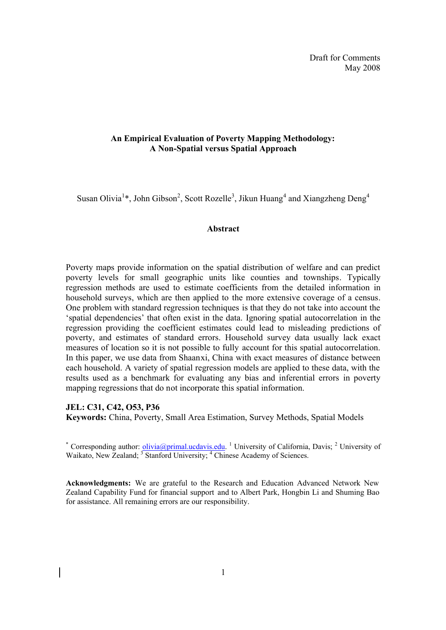#### **An Empirical Evaluation of Poverty Mapping Methodology: A Non-Spatial versus Spatial Approach**

Susan Olivia<sup>1</sup>\*, John Gibson<sup>2</sup>, Scott Rozelle<sup>3</sup>, Jikun Huang<sup>4</sup> and Xiangzheng Deng<sup>4</sup>

#### **Abstract**

Poverty maps provide information on the spatial distribution of welfare and can predict poverty levels for small geographic units like counties and townships. Typically regression methods are used to estimate coefficients from the detailed information in household surveys, which are then applied to the more extensive coverage of a census. One problem with standard regression techniques is that they do not take into account the 'spatial dependencies' that often exist in the data. Ignoring spatial autocorrelation in the regression providing the coefficient estimates could lead to misleading predictions of poverty, and estimates of standard errors. Household survey data usually lack exact measures of location so it is not possible to fully account for this spatial autocorrelation. In this paper, we use data from Shaanxi, China with exact measures of distance between each household. A variety of spatial regression models are applied to these data, with the results used as a benchmark for evaluating any bias and inferential errors in poverty mapping regressions that do not incorporate this spatial information.

#### **JEL: C31, C42, O53, P36**

**Keywords:** China, Poverty, Small Area Estimation, Survey Methods, Spatial Models

\* Corresponding author: *olivia@primal.ucdavis.edu.* <sup>1</sup> University of California, Davis; <sup>2</sup> University of Waikato, New Zealand; <sup>3</sup> Stanford University; <sup>4</sup> Chinese Academy of Sciences.

**Acknowledgments:** We are grateful to the Research and Education Advanced Network New Zealand Capability Fund for financial support and to Albert Park, Hongbin Li and Shuming Bao for assistance. All remaining errors are our responsibility.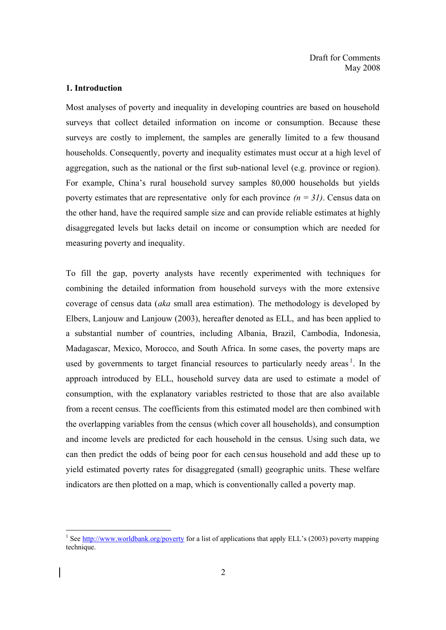#### **1. Introduction**

-

Most analyses of poverty and inequality in developing countries are based on household surveys that collect detailed information on income or consumption. Because these surveys are costly to implement, the samples are generally limited to a few thousand households. Consequently, poverty and inequality estimates must occur at a high level of aggregation, such as the national or the first sub-national level (e.g. province or region). For example, China's rural household survey samples 80,000 households but yields poverty estimates that are representative only for each province  $(n = 31)$ . Census data on the other hand, have the required sample size and can provide reliable estimates at highly disaggregated levels but lacks detail on income or consumption which are needed for measuring poverty and inequality.

To fill the gap, poverty analysts have recently experimented with techniques for combining the detailed information from household surveys with the more extensive coverage of census data (*aka* small area estimation). The methodology is developed by Elbers, Lanjouw and Lanjouw (2003), hereafter denoted as ELL, and has been applied to a substantial number of countries, including Albania, Brazil, Cambodia, Indonesia, Madagascar, Mexico, Morocco, and South Africa. In some cases, the poverty maps are used by governments to target financial resources to particularly needy areas<sup>1</sup>. In the approach introduced by ELL, household survey data are used to estimate a model of consumption, with the explanatory variables restricted to those that are also available from a recent census. The coefficients from this estimated model are then combined with the overlapping variables from the census (which cover all households), and consumption and income levels are predicted for each household in the census. Using such data, we can then predict the odds of being poor for each census household and add these up to yield estimated poverty rates for disaggregated (small) geographic units. These welfare indicators are then plotted on a map, which is conventionally called a poverty map.

<sup>&</sup>lt;sup>1</sup> See http://www.worldbank.org/poverty for a list of applications that apply ELL's (2003) poverty mapping technique.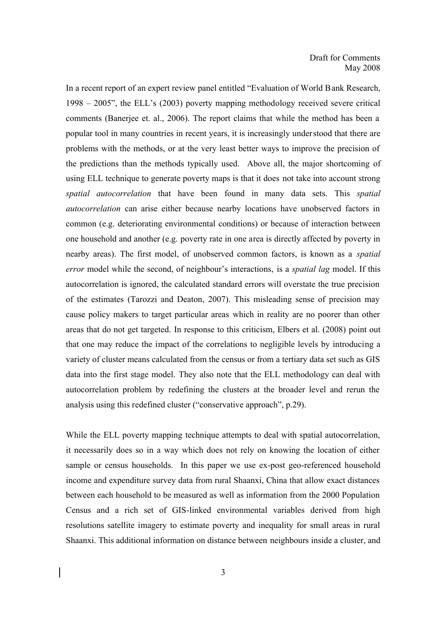In a recent report of an expert review panel entitled "Evaluation of World Bank Research, 1998 – 2005", the ELL's (2003) poverty mapping methodology received severe critical comments (Banerjee et. al., 2006). The report claims that while the method has been a popular tool in many countries in recent years, it is increasingly understood that there are problems with the methods, or at the very least better ways to improve the precision of the predictions than the methods typically used. Above all, the major shortcoming of using ELL technique to generate poverty maps is that it does not take into account strong *spatial autocorrelation* that have been found in many data sets. This *spatial autocorrelation* can arise either because nearby locations have unobserved factors in common (e.g. deteriorating environmental conditions) or because of interaction between one household and another (e.g. poverty rate in one area is directly affected by poverty in nearby areas). The first model, of unobserved common factors, is known as a *spatial error* model while the second, of neighbour's interactions, is a *spatial lag* model. If this autocorrelation is ignored, the calculated standard errors will overstate the true precision of the estimates (Tarozzi and Deaton, 2007). This misleading sense of precision may cause policy makers to target particular areas which in reality are no poorer than other areas that do not get targeted. In response to this criticism, Elbers et al. (2008) point out that one may reduce the impact of the correlations to negligible levels by introducing a variety of cluster means calculated from the census or from a tertiary data set such as GIS data into the first stage model. They also note that the ELL methodology can deal with autocorrelation problem by redefining the clusters at the broader level and rerun the analysis using this redefined cluster ("conservative approach", p.29).

While the ELL poverty mapping technique attempts to deal with spatial autocorrelation, it necessarily does so in a way which does not rely on knowing the location of either sample or census households. In this paper we use ex-post geo-referenced household income and expenditure survey data from rural Shaanxi, China that allow exact distances between each household to be measured as well as information from the 2000 Population Census and a rich set of GIS-linked environmental variables derived from high resolutions satellite imagery to estimate poverty and inequality for small areas in rural Shaanxi. This additional information on distance between neighbours inside a cluster, and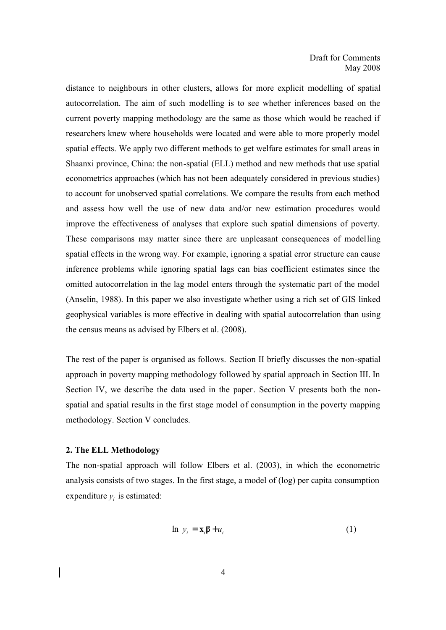distance to neighbours in other clusters, allows for more explicit modelling of spatial autocorrelation. The aim of such modelling is to see whether inferences based on the current poverty mapping methodology are the same as those which would be reached if researchers knew where households were located and were able to more properly model spatial effects. We apply two different methods to get welfare estimates for small areas in Shaanxi province, China: the non-spatial (ELL) method and new methods that use spatial econometrics approaches (which has not been adequately considered in previous studies) to account for unobserved spatial correlations. We compare the results from each method and assess how well the use of new data and/or new estimation procedures would improve the effectiveness of analyses that explore such spatial dimensions of poverty. These comparisons may matter since there are unpleasant consequences of modelling spatial effects in the wrong way. For example, ignoring a spatial error structure can cause inference problems while ignoring spatial lags can bias coefficient estimates since the omitted autocorrelation in the lag model enters through the systematic part of the model (Anselin, 1988). In this paper we also investigate whether using a rich set of GIS linked geophysical variables is more effective in dealing with spatial autocorrelation than using the census means as advised by Elbers et al. (2008).

The rest of the paper is organised as follows. Section II briefly discusses the non-spatial approach in poverty mapping methodology followed by spatial approach in Section III. In Section IV, we describe the data used in the paper. Section V presents both the nonspatial and spatial results in the first stage model of consumption in the poverty mapping methodology. Section V concludes.

#### **2. The ELL Methodology**

The non-spatial approach will follow Elbers et al. (2003), in which the econometric analysis consists of two stages. In the first stage, a model of (log) per capita consumption expenditure  $y_i$  is estimated:

$$
\ln y_i = \mathbf{x}_i \mathbf{\beta} + u_i \tag{1}
$$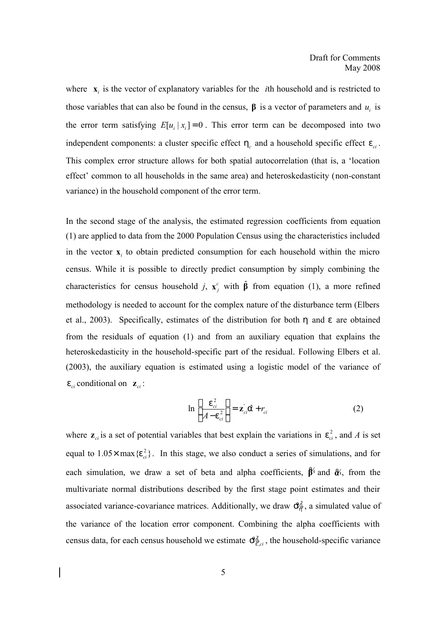where  $\mathbf{x}_i$  is the vector of explanatory variables for the *i*th household and is restricted to those variables that can also be found in the census,  $\beta$  is a vector of parameters and  $u_i$  is the error term satisfying  $E[u_i | x_i] = 0$ . This error term can be decomposed into two independent components: a cluster specific effect  $h_c$  and a household specific effect  $e_{ci}$ . This complex error structure allows for both spatial autocorrelation (that is, a 'location effect' common to all households in the same area) and heteroskedasticity (non-constant variance) in the household component of the error term.

In the second stage of the analysis, the estimated regression coefficients from equation (1) are applied to data from the 2000 Population Census using the characteristics included in the vector  $\mathbf{x}_i$  to obtain predicted consumption for each household within the micro census. While it is possible to directly predict consumption by simply combining the characteristics for census household *j*,  $\mathbf{x}_i^c$  $\mathbf{x}^c_j$  with  $\hat{\beta}$  from equation (1), a more refined methodology is needed to account for the complex nature of the disturbance term (Elbers et al., 2003). Specifically, estimates of the distribution for both *h* and *e* are obtained from the residuals of equation (1) and from an auxiliary equation that explains the heteroskedasticity in the household-specific part of the residual. Following Elbers et al. (2003), the auxiliary equation is estimated using a logistic model of the variance of  $e_{ci}$  conditional on  $\mathbf{z}_{ci}$ :

$$
\ln\left[\frac{e_{ci}^2}{A - e_{ci}^2}\right] = \mathbf{z}_{ci} \hat{\mathbf{a}} + r_{ci}
$$
 (2)

where  $z_{ci}$  is a set of potential variables that best explain the variations in  $e_{ci}^2$ , and A is set equal to  $1.05 \times \max{e_{ci}^2}$ . In this stage, we also conduct a series of simulations, and for each simulation, we draw a set of beta and alpha coefficients, **β**% and **α**%, from the multivariate normal distributions described by the first stage point estimates and their associated variance-covariance matrices. Additionally, we draw  $\mathcal{S}_{\phi}^2$ , a simulated value of the variance of the location error component. Combining the alpha coefficients with census data, for each census household we estimate  $\mathcal{S}_{\varrho_{ci}}^2$ , the household-specific variance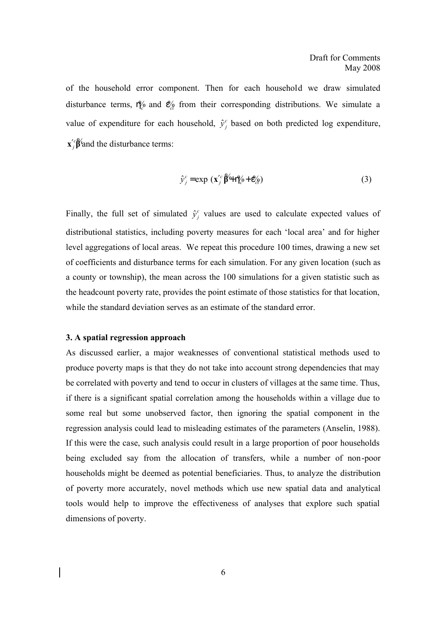of the household error component. Then for each household we draw simulated disturbance terms,  $h^{\prime\prime}_{\ell}$  and  $e^{\prime\prime}_{\ell}$  from their corresponding distributions. We simulate a value of expenditure for each household,  $\hat{y}_i^c$  $\hat{y}_j^c$  based on both predicted log expenditure, *c*  $\mathbf{x}'_j$  $\mathbf{\hat{\beta}}'$  and the disturbance terms:

$$
\hat{\mathbf{y}}_j^c = \exp\left(\mathbf{x}_j^{\prime c} \hat{\boldsymbol{\beta}}^c + \mathbf{P}_{\ell}^{\prime c} + \mathbf{P}_{\ell}^{\prime c}\right) \tag{3}
$$

Finally, the full set of simulated  $\hat{y}_i^c$  $\hat{y}_j^c$  values are used to calculate expected values of distributional statistics, including poverty measures for each 'local area' and for higher level aggregations of local areas. We repeat this procedure 100 times, drawing a new set of coefficients and disturbance terms for each simulation. For any given location (such as a county or township), the mean across the 100 simulations for a given statistic such as the headcount poverty rate, provides the point estimate of those statistics for that location, while the standard deviation serves as an estimate of the standard error.

#### **3. A spatial regression approach**

As discussed earlier, a major weaknesses of conventional statistical methods used to produce poverty maps is that they do not take into account strong dependencies that may be correlated with poverty and tend to occur in clusters of villages at the same time. Thus, if there is a significant spatial correlation among the households within a village due to some real but some unobserved factor, then ignoring the spatial component in the regression analysis could lead to misleading estimates of the parameters (Anselin, 1988). If this were the case, such analysis could result in a large proportion of poor households being excluded say from the allocation of transfers, while a number of non-poor households might be deemed as potential beneficiaries. Thus, to analyze the distribution of poverty more accurately, novel methods which use new spatial data and analytical tools would help to improve the effectiveness of analyses that explore such spatial dimensions of poverty.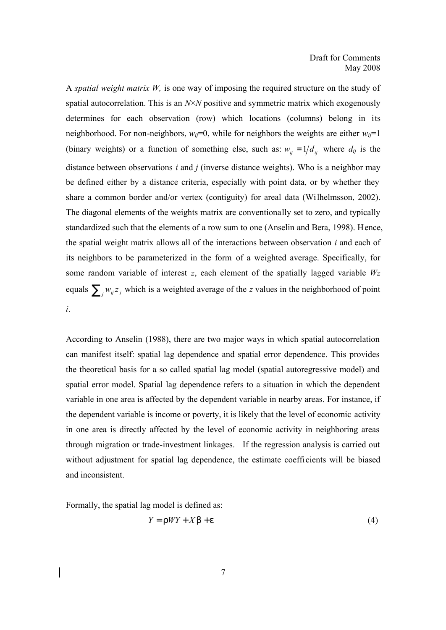A *spatial weight matrix W,* is one way of imposing the required structure on the study of spatial autocorrelation. This is an *N*×*N* positive and symmetric matrix which exogenously determines for each observation (row) which locations (columns) belong in its neighborhood. For non-neighbors,  $w_{ij}=0$ , while for neighbors the weights are either  $w_{ij}=1$ (binary weights) or a function of something else, such as:  $w_{ij} = 1/d_{ij}$  where  $d_{ij}$  is the distance between observations *i* and *j* (inverse distance weights). Who is a neighbor may be defined either by a distance criteria, especially with point data, or by whether they share a common border and/or vertex (contiguity) for areal data (Wilhelmsson, 2002). The diagonal elements of the weights matrix are conventionally set to zero, and typically standardized such that the elements of a row sum to one (Anselin and Bera, 1998). Hence, the spatial weight matrix allows all of the interactions between observation *i* and each of its neighbors to be parameterized in the form of a weighted average. Specifically, for some random variable of interest *z*, each element of the spatially lagged variable *Wz* equals  $\sum_j w_{ij} z_j$  which is a weighted average of the *z* values in the neighborhood of point *i*.

According to Anselin (1988), there are two major ways in which spatial autocorrelation can manifest itself: spatial lag dependence and spatial error dependence. This provides the theoretical basis for a so called spatial lag model (spatial autoregressive model) and spatial error model. Spatial lag dependence refers to a situation in which the dependent variable in one area is affected by the dependent variable in nearby areas. For instance, if the dependent variable is income or poverty, it is likely that the level of economic activity in one area is directly affected by the level of economic activity in neighboring areas through migration or trade-investment linkages. If the regression analysis is carried out without adjustment for spatial lag dependence, the estimate coefficients will be biased and inconsistent.

Formally, the spatial lag model is defined as:

$$
Y = \Gamma W Y + X b + e \tag{4}
$$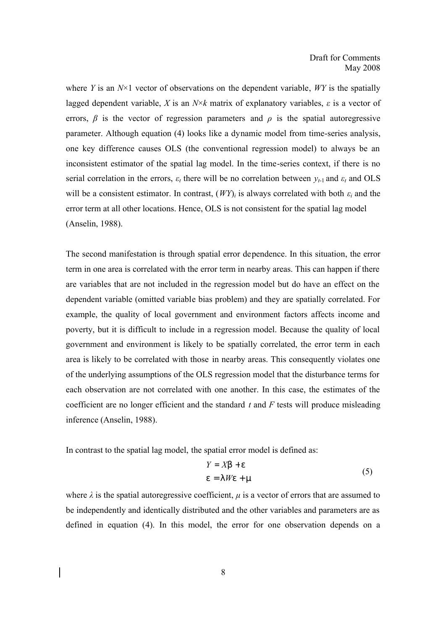where *Y* is an *N*×1 vector of observations on the dependent variable, *WY* is the spatially lagged dependent variable, *X* is an  $N \times k$  matrix of explanatory variables,  $\varepsilon$  is a vector of errors,  $\beta$  is the vector of regression parameters and  $\rho$  is the spatial autoregressive parameter. Although equation (4) looks like a dynamic model from time-series analysis, one key difference causes OLS (the conventional regression model) to always be an inconsistent estimator of the spatial lag model. In the time-series context, if there is no serial correlation in the errors,  $\varepsilon_t$  there will be no correlation between  $y_{t-1}$  and  $\varepsilon_t$  and OLS will be a consistent estimator. In contrast,  $(WY)_i$  is always correlated with both  $\varepsilon_i$  and the error term at all other locations. Hence, OLS is not consistent for the spatial lag model (Anselin, 1988).

The second manifestation is through spatial error dependence. In this situation, the error term in one area is correlated with the error term in nearby areas. This can happen if there are variables that are not included in the regression model but do have an effect on the dependent variable (omitted variable bias problem) and they are spatially correlated. For example, the quality of local government and environment factors affects income and poverty, but it is difficult to include in a regression model. Because the quality of local government and environment is likely to be spatially correlated, the error term in each area is likely to be correlated with those in nearby areas. This consequently violates one of the underlying assumptions of the OLS regression model that the disturbance terms for each observation are not correlated with one another. In this case, the estimates of the coefficient are no longer efficient and the standard *t* and *F* tests will produce misleading inference (Anselin, 1988).

In contrast to the spatial lag model, the spatial error model is defined as:

$$
Y = Xb + e
$$
  
e = l We + m (5)

where  $\lambda$  is the spatial autoregressive coefficient,  $\mu$  is a vector of errors that are assumed to be independently and identically distributed and the other variables and parameters are as defined in equation (4). In this model, the error for one observation depends on a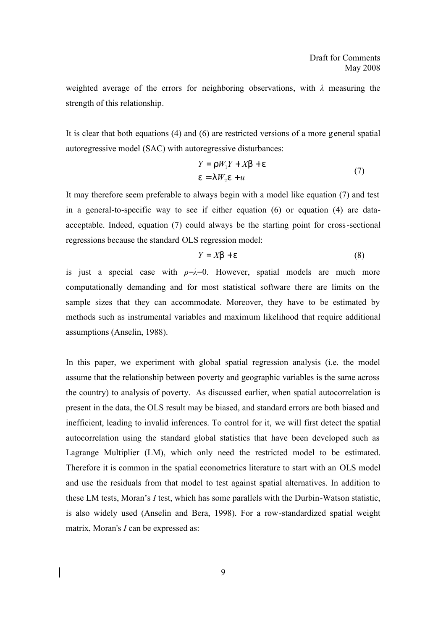weighted average of the errors for neighboring observations, with *λ* measuring the strength of this relationship.

It is clear that both equations (4) and (6) are restricted versions of a more general spatial autoregressive model (SAC) with autoregressive disturbances:

$$
Y = rW_1Y + Xb + e
$$
  
e = l W<sub>2</sub>e + u (7)

It may therefore seem preferable to always begin with a model like equation (7) and test in a general-to-specific way to see if either equation (6) or equation (4) are dataacceptable. Indeed, equation (7) could always be the starting point for cross-sectional regressions because the standard OLS regression model:

$$
Y = Xb + e \tag{8}
$$

is just a special case with  $\rho = \lambda = 0$ . However, spatial models are much more computationally demanding and for most statistical software there are limits on the sample sizes that they can accommodate. Moreover, they have to be estimated by methods such as instrumental variables and maximum likelihood that require additional assumptions (Anselin, 1988).

In this paper, we experiment with global spatial regression analysis (i.e. the model assume that the relationship between poverty and geographic variables is the same across the country) to analysis of poverty. As discussed earlier, when spatial autocorrelation is present in the data, the OLS result may be biased, and standard errors are both biased and inefficient, leading to invalid inferences. To control for it, we will first detect the spatial autocorrelation using the standard global statistics that have been developed such as Lagrange Multiplier (LM), which only need the restricted model to be estimated. Therefore it is common in the spatial econometrics literature to start with an OLS model and use the residuals from that model to test against spatial alternatives. In addition to these LM tests, Moran's *I* test, which has some parallels with the Durbin-Watson statistic, is also widely used (Anselin and Bera, 1998). For a row-standardized spatial weight matrix, Moran's *I* can be expressed as: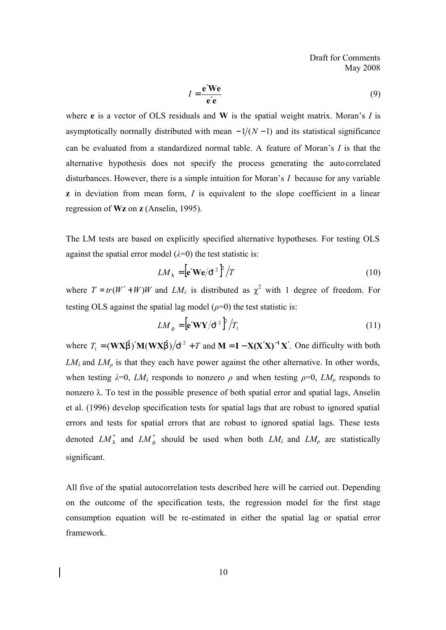$$
I = \frac{\mathbf{e}' \mathbf{We}}{\mathbf{e}' \mathbf{e}}
$$
 (9)

where **e** is a vector of OLS residuals and **W** is the spatial weight matrix. Moran's *I* is asymptotically normally distributed with mean  $-1/(N-1)$  and its statistical significance can be evaluated from a standardized normal table. A feature of Moran's *I* is that the alternative hypothesis does not specify the process generating the autocorrelated disturbances. However, there is a simple intuition for Moran's *I* because for any variable **z** in deviation from mean form, *I* is equivalent to the slope coefficient in a linear regression of **Wz** on **z** (Anselin, 1995).

The LM tests are based on explicitly specified alternative hypotheses. For testing OLS against the spatial error model  $(\lambda=0)$  the test statistic is:

$$
LM_{\perp} = \left[ \mathbf{e}' \mathbf{W} \mathbf{e} / \mathbf{S}^2 \right]^2 / T \tag{10}
$$

where  $T = tr(W' + W)W$  and  $LM_{\lambda}$  is distributed as  $\chi^2$  with 1 degree of freedom. For testing OLS against the spatial lag model  $(\rho=0)$  the test statistic is:

$$
LM_r = \left[\mathbf{e}'\mathbf{W}\mathbf{Y}/\mathbf{S}^2\right]^2 / T_1 \tag{11}
$$

where  $T_1 = (\mathbf{W} \mathbf{X} \hat{\mathbf{b}})' \mathbf{M} (\mathbf{W} \mathbf{X} \hat{\mathbf{b}}) / \hat{\mathbf{S}}^2 + T$  and  $\mathbf{M} = \mathbf{I} - \mathbf{X} (\mathbf{X}' \mathbf{X})^{-1} \mathbf{X}'$ . One difficulty with both  $LM_{\lambda}$  and  $LM_{\rho}$  is that they each have power against the other alternative. In other words, when testing  $\lambda = 0$ ,  $LM_{\lambda}$  responds to nonzero  $\rho$  and when testing  $\rho = 0$ ,  $LM_{\rho}$  responds to nonzero λ. To test in the possible presence of both spatial error and spatial lags, Anselin et al. (1996) develop specification tests for spatial lags that are robust to ignored spatial errors and tests for spatial errors that are robust to ignored spatial lags. These tests denoted  $LM_1^*$  and  $LM_r^*$  should be used when both  $LM_\lambda$  and  $LM_\rho$  are statistically significant.

All five of the spatial autocorrelation tests described here will be carried out. Depending on the outcome of the specification tests, the regression model for the first stage consumption equation will be re-estimated in either the spatial lag or spatial error framework.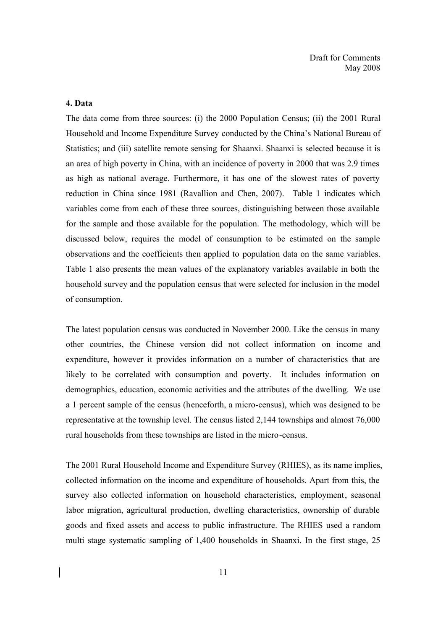### **4. Data**

The data come from three sources: (i) the 2000 Population Census; (ii) the 2001 Rural Household and Income Expenditure Survey conducted by the China's National Bureau of Statistics; and (iii) satellite remote sensing for Shaanxi. Shaanxi is selected because it is an area of high poverty in China, with an incidence of poverty in 2000 that was 2.9 times as high as national average. Furthermore, it has one of the slowest rates of poverty reduction in China since 1981 (Ravallion and Chen, 2007). Table 1 indicates which variables come from each of these three sources, distinguishing between those available for the sample and those available for the population. The methodology, which will be discussed below, requires the model of consumption to be estimated on the sample observations and the coefficients then applied to population data on the same variables. Table 1 also presents the mean values of the explanatory variables available in both the household survey and the population census that were selected for inclusion in the model of consumption.

The latest population census was conducted in November 2000. Like the census in many other countries, the Chinese version did not collect information on income and expenditure, however it provides information on a number of characteristics that are likely to be correlated with consumption and poverty. It includes information on demographics, education, economic activities and the attributes of the dwelling. We use a 1 percent sample of the census (henceforth, a micro-census), which was designed to be representative at the township level. The census listed 2,144 townships and almost 76,000 rural households from these townships are listed in the micro-census.

The 2001 Rural Household Income and Expenditure Survey (RHIES), as its name implies, collected information on the income and expenditure of households. Apart from this, the survey also collected information on household characteristics, employment, seasonal labor migration, agricultural production, dwelling characteristics, ownership of durable goods and fixed assets and access to public infrastructure. The RHIES used a r andom multi stage systematic sampling of 1,400 households in Shaanxi. In the first stage, 25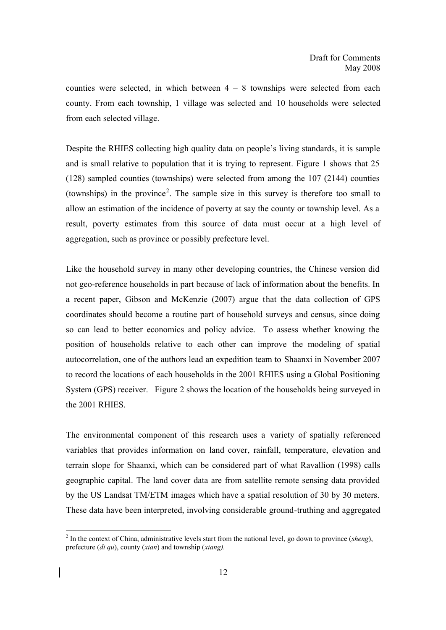counties were selected, in which between  $4 - 8$  townships were selected from each county. From each township, 1 village was selected and 10 households were selected from each selected village.

Despite the RHIES collecting high quality data on people's living standards, it is sample and is small relative to population that it is trying to represent. Figure 1 shows that 25 (128) sampled counties (townships) were selected from among the 107 (2144) counties (townships) in the province<sup>2</sup>. The sample size in this survey is therefore too small to allow an estimation of the incidence of poverty at say the county or township level. As a result, poverty estimates from this source of data must occur at a high level of aggregation, such as province or possibly prefecture level.

Like the household survey in many other developing countries, the Chinese version did not geo-reference households in part because of lack of information about the benefits. In a recent paper, Gibson and McKenzie (2007) argue that the data collection of GPS coordinates should become a routine part of household surveys and census, since doing so can lead to better economics and policy advice. To assess whether knowing the position of households relative to each other can improve the modeling of spatial autocorrelation, one of the authors lead an expedition team to Shaanxi in November 2007 to record the locations of each households in the 2001 RHIES using a Global Positioning System (GPS) receiver. Figure 2 shows the location of the households being surveyed in the 2001 RHIES.

The environmental component of this research uses a variety of spatially referenced variables that provides information on land cover, rainfall, temperature, elevation and terrain slope for Shaanxi, which can be considered part of what Ravallion (1998) calls geographic capital. The land cover data are from satellite remote sensing data provided by the US Landsat TM/ETM images which have a spatial resolution of 30 by 30 meters. These data have been interpreted, involving considerable ground-truthing and aggregated

-

<sup>2</sup> In the context of China, administrative levels start from the national level, go down to province (*sheng*), prefecture (*di qu*), county (*xian*) and township (*xiang).*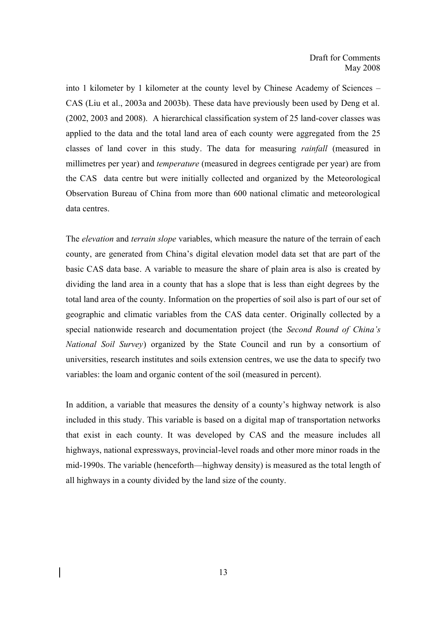into 1 kilometer by 1 kilometer at the county level by Chinese Academy of Sciences – CAS (Liu et al., 2003a and 2003b). These data have previously been used by Deng et al. (2002, 2003 and 2008). A hierarchical classification system of 25 land-cover classes was applied to the data and the total land area of each county were aggregated from the 25 classes of land cover in this study. The data for measuring *rainfall* (measured in millimetres per year) and *temperature* (measured in degrees centigrade per year) are from the CAS data centre but were initially collected and organized by the Meteorological Observation Bureau of China from more than 600 national climatic and meteorological data centres.

The *elevation* and *terrain slope* variables, which measure the nature of the terrain of each county, are generated from China's digital elevation model data set that are part of the basic CAS data base. A variable to measure the share of plain area is also is created by dividing the land area in a county that has a slope that is less than eight degrees by the total land area of the county. Information on the properties of soil also is part of our set of geographic and climatic variables from the CAS data center. Originally collected by a special nationwide research and documentation project (the *Second Round of China's National Soil Survey*) organized by the State Council and run by a consortium of universities, research institutes and soils extension centres, we use the data to specify two variables: the loam and organic content of the soil (measured in percent).

In addition, a variable that measures the density of a county's highway network is also included in this study. This variable is based on a digital map of transportation networks that exist in each county. It was developed by CAS and the measure includes all highways, national expressways, provincial-level roads and other more minor roads in the mid-1990s. The variable (henceforth—highway density) is measured as the total length of all highways in a county divided by the land size of the county.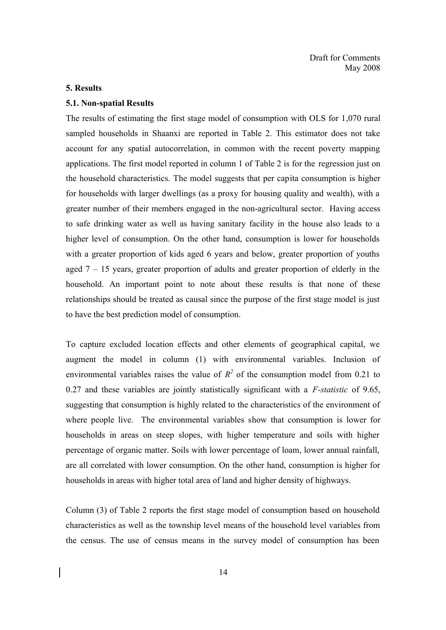#### **5. Results**

### **5.1. Non-spatial Results**

The results of estimating the first stage model of consumption with OLS for 1,070 rural sampled households in Shaanxi are reported in Table 2. This estimator does not take account for any spatial autocorrelation, in common with the recent poverty mapping applications. The first model reported in column 1 of Table 2 is for the regression just on the household characteristics. The model suggests that per capita consumption is higher for households with larger dwellings (as a proxy for housing quality and wealth), with a greater number of their members engaged in the non-agricultural sector. Having access to safe drinking water as well as having sanitary facility in the house also leads to a higher level of consumption. On the other hand, consumption is lower for households with a greater proportion of kids aged 6 years and below, greater proportion of youths aged  $7 - 15$  years, greater proportion of adults and greater proportion of elderly in the household. An important point to note about these results is that none of these relationships should be treated as causal since the purpose of the first stage model is just to have the best prediction model of consumption.

To capture excluded location effects and other elements of geographical capital, we augment the model in column (1) with environmental variables. Inclusion of environmental variables raises the value of  $R^2$  of the consumption model from 0.21 to 0.27 and these variables are jointly statistically significant with a *F-statistic* of 9.65, suggesting that consumption is highly related to the characteristics of the environment of where people live. The environmental variables show that consumption is lower for households in areas on steep slopes, with higher temperature and soils with higher percentage of organic matter. Soils with lower percentage of loam, lower annual rainfall, are all correlated with lower consumption. On the other hand, consumption is higher for households in areas with higher total area of land and higher density of highways.

Column (3) of Table 2 reports the first stage model of consumption based on household characteristics as well as the township level means of the household level variables from the census. The use of census means in the survey model of consumption has been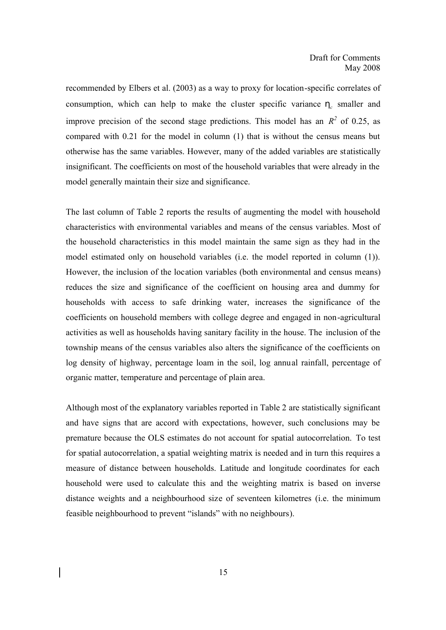recommended by Elbers et al. (2003) as a way to proxy for location-specific correlates of consumption, which can help to make the cluster specific variance  $h_c$  smaller and improve precision of the second stage predictions. This model has an  $R^2$  of 0.25, as compared with 0.21 for the model in column (1) that is without the census means but otherwise has the same variables. However, many of the added variables are statistically insignificant. The coefficients on most of the household variables that were already in the model generally maintain their size and significance.

The last column of Table 2 reports the results of augmenting the model with household characteristics with environmental variables and means of the census variables. Most of the household characteristics in this model maintain the same sign as they had in the model estimated only on household variables (i.e. the model reported in column (1)). However, the inclusion of the location variables (both environmental and census means) reduces the size and significance of the coefficient on housing area and dummy for households with access to safe drinking water, increases the significance of the coefficients on household members with college degree and engaged in non-agricultural activities as well as households having sanitary facility in the house. The inclusion of the township means of the census variables also alters the significance of the coefficients on log density of highway, percentage loam in the soil, log annual rainfall, percentage of organic matter, temperature and percentage of plain area.

Although most of the explanatory variables reported in Table 2 are statistically significant and have signs that are accord with expectations, however, such conclusions may be premature because the OLS estimates do not account for spatial autocorrelation. To test for spatial autocorrelation, a spatial weighting matrix is needed and in turn this requires a measure of distance between households. Latitude and longitude coordinates for each household were used to calculate this and the weighting matrix is based on inverse distance weights and a neighbourhood size of seventeen kilometres (i.e. the minimum feasible neighbourhood to prevent "islands" with no neighbours).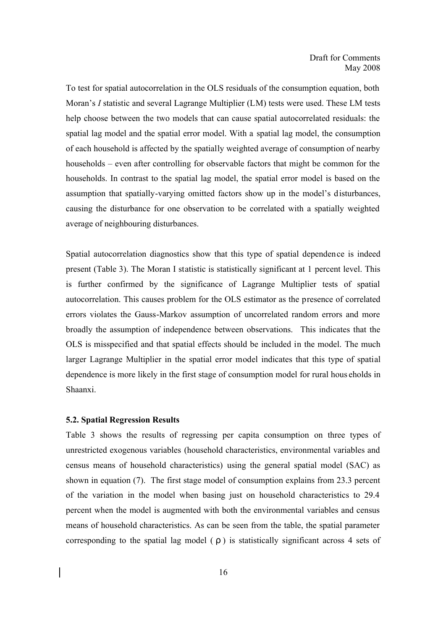To test for spatial autocorrelation in the OLS residuals of the consumption equation, both Moran's *I* statistic and several Lagrange Multiplier (LM) tests were used. These LM tests help choose between the two models that can cause spatial autocorrelated residuals: the spatial lag model and the spatial error model. With a spatial lag model, the consumption of each household is affected by the spatially weighted average of consumption of nearby households – even after controlling for observable factors that might be common for the households. In contrast to the spatial lag model, the spatial error model is based on the assumption that spatially-varying omitted factors show up in the model's disturbances, causing the disturbance for one observation to be correlated with a spatially weighted average of neighbouring disturbances.

Spatial autocorrelation diagnostics show that this type of spatial dependence is indeed present (Table 3). The Moran I statistic is statistically significant at 1 percent level. This is further confirmed by the significance of Lagrange Multiplier tests of spatial autocorrelation. This causes problem for the OLS estimator as the presence of correlated errors violates the Gauss-Markov assumption of uncorrelated random errors and more broadly the assumption of independence between observations. This indicates that the OLS is misspecified and that spatial effects should be included in the model. The much larger Lagrange Multiplier in the spatial error model indicates that this type of spatial dependence is more likely in the first stage of consumption model for rural hous eholds in Shaanxi.

#### **5.2. Spatial Regression Results**

Table 3 shows the results of regressing per capita consumption on three types of unrestricted exogenous variables (household characteristics, environmental variables and census means of household characteristics) using the general spatial model (SAC) as shown in equation (7). The first stage model of consumption explains from 23.3 percent of the variation in the model when basing just on household characteristics to 29.4 percent when the model is augmented with both the environmental variables and census means of household characteristics. As can be seen from the table, the spatial parameter corresponding to the spatial lag model ( *r* ) is statistically significant across 4 sets of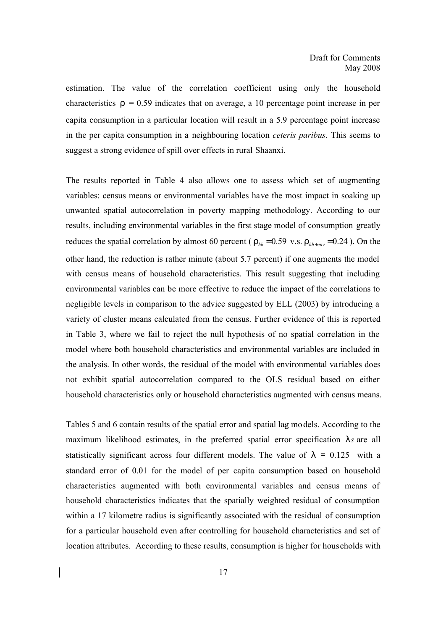estimation. The value of the correlation coefficient using only the household characteristics  $r = 0.59$  indicates that on average, a 10 percentage point increase in per capita consumption in a particular location will result in a 5.9 percentage point increase in the per capita consumption in a neighbouring location *ceteris paribus.* This seems to suggest a strong evidence of spill over effects in rural Shaanxi.

The results reported in Table 4 also allows one to assess which set of augmenting variables: census means or environmental variables have the most impact in soaking up unwanted spatial autocorrelation in poverty mapping methodology. According to our results, including environmental variables in the first stage model of consumption greatly reduces the spatial correlation by almost 60 percent ( $r_{hh} = 0.59$  *v.s.*  $r_{hh+env} = 0.24$ ). On the other hand, the reduction is rather minute (about 5.7 percent) if one augments the model with census means of household characteristics. This result suggesting that including environmental variables can be more effective to reduce the impact of the correlations to negligible levels in comparison to the advice suggested by ELL (2003) by introducing a variety of cluster means calculated from the census. Further evidence of this is reported in Table 3, where we fail to reject the null hypothesis of no spatial correlation in the model where both household characteristics and environmental variables are included in the analysis. In other words, the residual of the model with environmental va riables does not exhibit spatial autocorrelation compared to the OLS residual based on either household characteristics only or household characteristics augmented with census means.

Tables 5 and 6 contain results of the spatial error and spatial lag models. According to the maximum likelihood estimates, in the preferred spatial error specification *ls* are all statistically significant across four different models. The value of  $l = 0.125$  with a standard error of 0.01 for the model of per capita consumption based on household characteristics augmented with both environmental variables and census means of household characteristics indicates that the spatially weighted residual of consumption within a 17 kilometre radius is significantly associated with the residual of consumption for a particular household even after controlling for household characteristics and set of location attributes. According to these results, consumption is higher for households with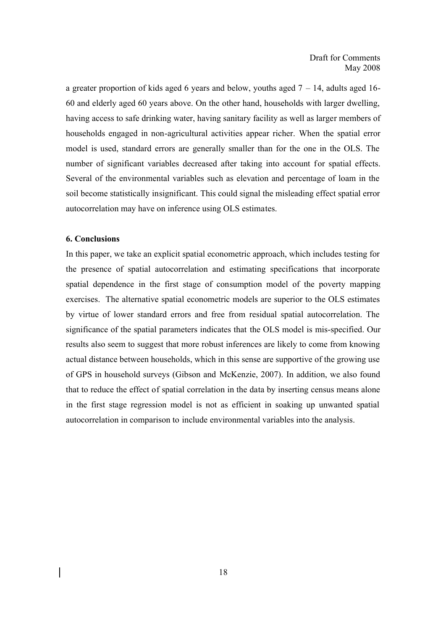a greater proportion of kids aged 6 years and below, youths aged  $7 - 14$ , adults aged 16-60 and elderly aged 60 years above. On the other hand, households with larger dwelling, having access to safe drinking water, having sanitary facility as well as larger members of households engaged in non-agricultural activities appear richer. When the spatial error model is used, standard errors are generally smaller than for the one in the OLS. The number of significant variables decreased after taking into account for spatial effects. Several of the environmental variables such as elevation and percentage of loam in the soil become statistically insignificant. This could signal the misleading effect spatial error autocorrelation may have on inference using OLS estimates.

#### **6. Conclusions**

In this paper, we take an explicit spatial econometric approach, which includes testing for the presence of spatial autocorrelation and estimating specifications that incorporate spatial dependence in the first stage of consumption model of the poverty mapping exercises. The alternative spatial econometric models are superior to the OLS estimates by virtue of lower standard errors and free from residual spatial autocorrelation. The significance of the spatial parameters indicates that the OLS model is mis-specified. Our results also seem to suggest that more robust inferences are likely to come from knowing actual distance between households, which in this sense are supportive of the growing use of GPS in household surveys (Gibson and McKenzie, 2007). In addition, we also found that to reduce the effect of spatial correlation in the data by inserting census means alone in the first stage regression model is not as efficient in soaking up unwanted spatial autocorrelation in comparison to include environmental variables into the analysis.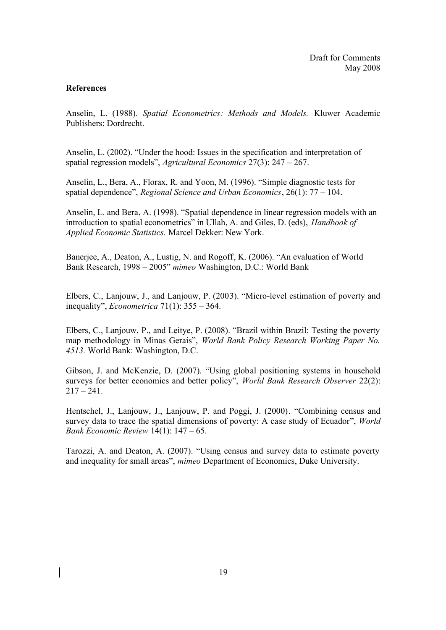### **References**

Anselin, L. (1988). *Spatial Econometrics: Methods and Models.* Kluwer Academic Publishers: Dordrecht.

Anselin, L. (2002). "Under the hood: Issues in the specification and interpretation of spatial regression models", *Agricultural Economics* 27(3): 247 – 267.

Anselin, L., Bera, A., Florax, R. and Yoon, M. (1996). "Simple diagnostic tests for spatial dependence", *Regional Science and Urban Economics*, 26(1): 77 – 104.

Anselin, L. and Bera, A. (1998). "Spatial dependence in linear regression models with an introduction to spatial econometrics" in Ullah, A. and Giles, D. (eds), *Handbook of Applied Economic Statistics.* Marcel Dekker: New York.

Banerjee, A., Deaton, A., Lustig, N. and Rogoff, K. (2006). "An evaluation of World Bank Research, 1998 – 2005" *mimeo* Washington, D.C.: World Bank

Elbers, C., Lanjouw, J., and Lanjouw, P. (2003). "Micro-level estimation of poverty and inequality", *Econometrica* 71(1): 355 – 364.

Elbers, C., Lanjouw, P., and Leitye, P. (2008). "Brazil within Brazil: Testing the poverty map methodology in Minas Gerais", *World Bank Policy Research Working Paper No. 4513.* World Bank: Washington, D.C.

Gibson, J. and McKenzie, D. (2007). "Using global positioning systems in household surveys for better economics and better policy", *World Bank Research Observer* 22(2):  $217 - 241$ .

Hentschel, J., Lanjouw, J., Lanjouw, P. and Poggi, J. (2000). "Combining census and survey data to trace the spatial dimensions of poverty: A case study of Ecuador", *World Bank Economic Review* 14(1): 147 – 65.

Tarozzi, A. and Deaton, A. (2007). "Using census and survey data to estimate poverty and inequality for small areas", *mimeo* Department of Economics, Duke University.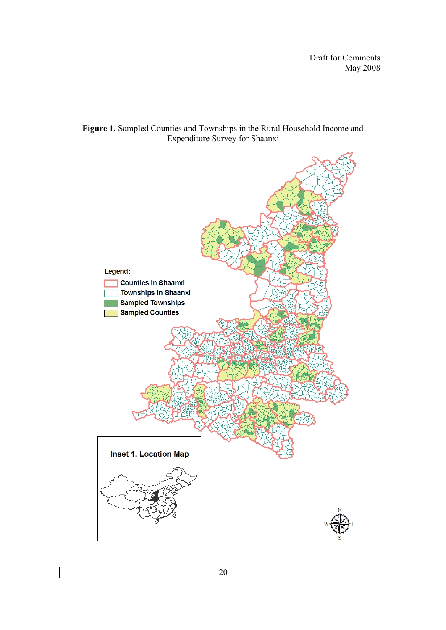

## **Figure 1.** Sampled Counties and Townships in the Rural Household Income and Expenditure Survey for Shaanxi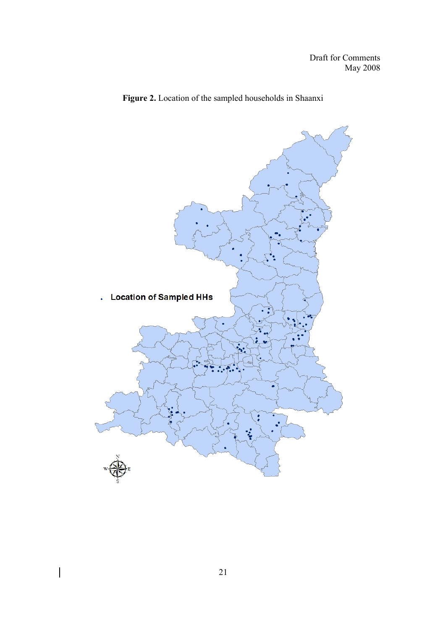



 $\overline{\phantom{a}}$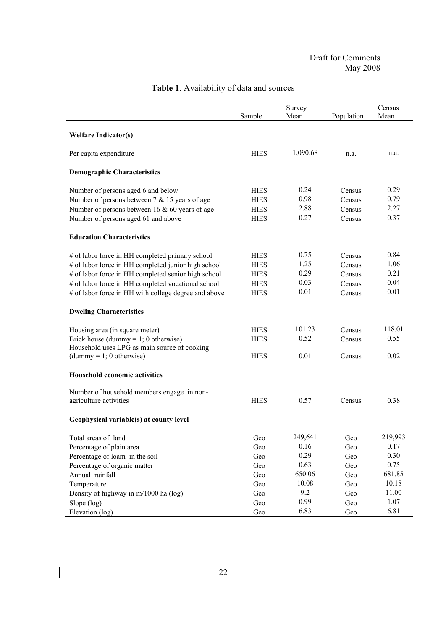|                                                      | Survey<br>Mean<br>Sample |          | Population | Census<br>Mean |
|------------------------------------------------------|--------------------------|----------|------------|----------------|
|                                                      |                          |          |            |                |
| <b>Welfare Indicator(s)</b>                          |                          |          |            |                |
| Per capita expenditure                               | <b>HIES</b>              | 1,090.68 | n.a.       | n.a.           |
| <b>Demographic Characteristics</b>                   |                          |          |            |                |
| Number of persons aged 6 and below                   | <b>HIES</b>              | 0.24     | Census     | 0.29           |
| Number of persons between $7 & 15$ years of age      | <b>HIES</b>              | 0.98     | Census     | 0.79           |
| Number of persons between 16 $\&$ 60 years of age    | <b>HIES</b>              | 2.88     | Census     | 2.27           |
| Number of persons aged 61 and above                  | <b>HIES</b>              | 0.27     | Census     | 0.37           |
| <b>Education Characteristics</b>                     |                          |          |            |                |
| # of labor force in HH completed primary school      | <b>HIES</b>              | 0.75     | Census     | 0.84           |
| # of labor force in HH completed junior high school  | <b>HIES</b>              | 1.25     | Census     | 1.06           |
| # of labor force in HH completed senior high school  | <b>HIES</b>              | 0.29     | Census     | 0.21           |
| # of labor force in HH completed vocational school   | <b>HIES</b>              | 0.03     | Census     | 0.04           |
| # of labor force in HH with college degree and above | <b>HIES</b>              | 0.01     | Census     | 0.01           |
| <b>Dweling Characteristics</b>                       |                          |          |            |                |
| Housing area (in square meter)                       | <b>HIES</b>              | 101.23   | Census     | 118.01         |
| Brick house (dummy = $1$ ; 0 otherwise)              | <b>HIES</b>              | 0.52     | Census     | 0.55           |
| Household uses LPG as main source of cooking         |                          |          |            |                |
| $(dummy = 1; 0 otherwise)$                           | <b>HIES</b>              | 0.01     | Census     | 0.02           |
| Household economic activities                        |                          |          |            |                |
| Number of household members engage in non-           |                          |          |            |                |
| agriculture activities                               | <b>HIES</b>              | 0.57     | Census     | 0.38           |
| Geophysical variable(s) at county level              |                          |          |            |                |
| Total areas of land                                  | Geo                      | 249,641  | Geo        | 219,993        |
| Percentage of plain area                             | Geo                      | 0.16     | Geo        | 0.17           |
| Percentage of loam in the soil                       | Geo                      | 0.29     | Geo        | 0.30           |
| Percentage of organic matter                         | Geo                      | 0.63     | Geo        | 0.75           |
| Annual rainfall                                      | Geo                      | 650.06   | Geo        | 681.85         |
| Temperature                                          | Geo                      | 10.08    | Geo        | 10.18          |
| Density of highway in m/1000 ha (log)                | Geo                      | 9.2      | Geo        | 11.00          |
| Slope (log)                                          | Geo                      | 0.99     | Geo        | 1.07           |
| Elevation (log)                                      | Geo                      | 6.83     | Geo        | 6.81           |

# **Table 1**. Availability of data and sources

 $\overline{\phantom{a}}$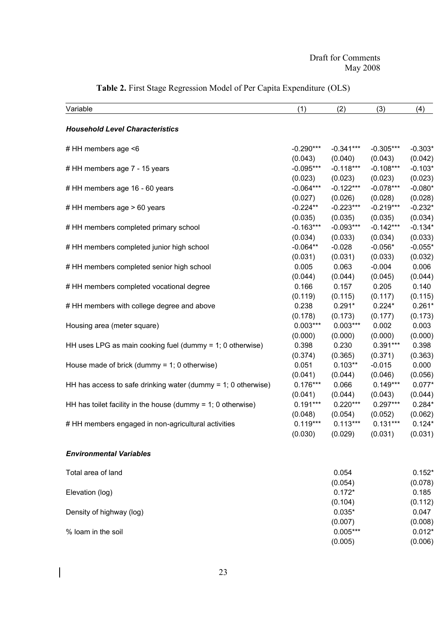| Variable                                                         | (1)         | (2)         | (3)         | (4)       |
|------------------------------------------------------------------|-------------|-------------|-------------|-----------|
| <b>Household Level Characteristics</b>                           |             |             |             |           |
| # HH members age <6                                              | $-0.290***$ | $-0.341***$ | $-0.305***$ | $-0.303*$ |
|                                                                  | (0.043)     | (0.040)     | (0.043)     | (0.042)   |
| # HH members age 7 - 15 years                                    | $-0.095***$ | $-0.118***$ | $-0.108***$ | $-0.103*$ |
|                                                                  | (0.023)     | (0.023)     | (0.023)     | (0.023)   |
| # HH members age 16 - 60 years                                   | $-0.064***$ | $-0.122***$ | $-0.078***$ | $-0.080*$ |
|                                                                  | (0.027)     | (0.026)     | (0.028)     | (0.028)   |
| # HH members age > 60 years                                      | $-0.224**$  | $-0.223***$ | $-0.219***$ | $-0.232*$ |
|                                                                  | (0.035)     | (0.035)     | (0.035)     | (0.034)   |
| # HH members completed primary school                            | $-0.163***$ | $-0.093***$ | $-0.142***$ | $-0.134*$ |
|                                                                  | (0.034)     | (0.033)     | (0.034)     | (0.033)   |
| # HH members completed junior high school                        | $-0.064**$  | $-0.028$    | $-0.056*$   | $-0.055*$ |
|                                                                  | (0.031)     | (0.031)     | (0.033)     | (0.032)   |
| # HH members completed senior high school                        | 0.005       | 0.063       | $-0.004$    | 0.006     |
|                                                                  | (0.044)     | (0.044)     | (0.045)     | (0.044)   |
| # HH members completed vocational degree                         | 0.166       | 0.157       | 0.205       | 0.140     |
|                                                                  | (0.119)     | (0.115)     | (0.117)     | (0.115)   |
| # HH members with college degree and above                       | 0.238       | $0.291*$    | $0.224*$    | $0.261*$  |
|                                                                  | (0.178)     | (0.173)     | (0.177)     | (0.173)   |
| Housing area (meter square)                                      | $0.003***$  | $0.003***$  | 0.002       | 0.003     |
|                                                                  | (0.000)     | (0.000)     | (0.000)     | (0.000)   |
| HH uses LPG as main cooking fuel (dummy = $1$ ; 0 otherwise)     | 0.398       | 0.230       | $0.391***$  | 0.398     |
|                                                                  | (0.374)     | (0.365)     | (0.371)     | (0.363)   |
| House made of brick (dummy = $1$ ; 0 otherwise)                  | 0.051       | $0.103**$   | $-0.015$    | 0.000     |
|                                                                  | (0.041)     | (0.044)     | (0.046)     | (0.056)   |
| HH has access to safe drinking water (dummy $= 1$ ; 0 otherwise) | $0.176***$  | 0.066       | $0.149***$  | $0.077*$  |
|                                                                  | (0.041)     | (0.044)     | (0.043)     | (0.044)   |
| HH has toilet facility in the house (dummy $= 1$ ; 0 otherwise)  | $0.191***$  | $0.220***$  | $0.297***$  | $0.284*$  |
|                                                                  | (0.048)     | (0.054)     | (0.052)     | (0.062)   |
| # HH members engaged in non-agricultural activities              | $0.119***$  | $0.113***$  | $0.131***$  | $0.124*$  |
|                                                                  | (0.030)     | (0.029)     | (0.031)     | (0.031)   |
| <b>Environmental Variables</b>                                   |             |             |             |           |
| Total area of land                                               |             | 0.054       |             | $0.152*$  |
|                                                                  |             | (0.054)     |             | (0.078)   |
| Elevation (log)                                                  |             | $0.172*$    |             | 0.185     |
|                                                                  |             | (0.104)     |             | (0.112)   |
| Density of highway (log)                                         |             | $0.035*$    |             | 0.047     |
|                                                                  |             | (0.007)     |             | (0.008)   |
| % loam in the soil                                               |             | $0.005***$  |             | $0.012*$  |
|                                                                  |             | (0.005)     |             | (0.006)   |

# **Table 2.** First Stage Regression Model of Per Capita Expenditure (OLS)

23

 $\begin{array}{c} \hline \end{array}$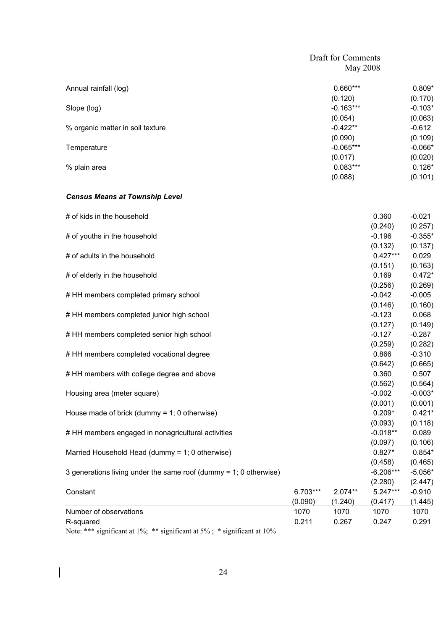| May 2008    |                    |  |
|-------------|--------------------|--|
| $0.660***$  | $0.809*$           |  |
| (0.120)     | (0.170)            |  |
| $-0.163***$ | $-0.103*$          |  |
| (0.054)     | (0.063)            |  |
| $-0.422**$  | $-0.612$           |  |
| (0.090)     | (0.109)            |  |
| $-0.065***$ | $-0.066*$          |  |
| (0.017)     | (0.020)            |  |
| $0.083***$  | $0.126*$           |  |
| (0.088)     | (0.101)            |  |
|             | Draft for Comments |  |

### *Census Means at Township Level*

| # of kids in the household                                           |          |           | 0.360       | $-0.021$  |
|----------------------------------------------------------------------|----------|-----------|-------------|-----------|
|                                                                      |          |           | (0.240)     | (0.257)   |
| # of youths in the household                                         |          |           | $-0.196$    | $-0.355*$ |
|                                                                      |          |           | (0.132)     | (0.137)   |
| # of adults in the household                                         |          |           | $0.427***$  | 0.029     |
|                                                                      |          |           | (0.151)     | (0.163)   |
| # of elderly in the household                                        |          |           | 0.169       | $0.472*$  |
|                                                                      |          |           | (0.256)     | (0.269)   |
| # HH members completed primary school                                |          |           | $-0.042$    | $-0.005$  |
|                                                                      |          |           | (0.146)     | (0.160)   |
| # HH members completed junior high school                            |          |           | $-0.123$    | 0.068     |
|                                                                      |          |           | (0.127)     | (0.149)   |
| # HH members completed senior high school                            |          |           | $-0.127$    | $-0.287$  |
|                                                                      |          |           | (0.259)     | (0.282)   |
| # HH members completed vocational degree                             |          |           | 0.866       | $-0.310$  |
|                                                                      |          |           | (0.642)     | (0.665)   |
| # HH members with college degree and above                           |          |           | 0.360       | 0.507     |
|                                                                      |          |           | (0.562)     | (0.564)   |
| Housing area (meter square)                                          |          |           | $-0.002$    | $-0.003*$ |
|                                                                      |          |           | (0.001)     | (0.001)   |
| House made of brick (dummy = $1$ ; 0 otherwise)                      |          |           | $0.209*$    | $0.421*$  |
|                                                                      |          |           | (0.093)     | (0.118)   |
| # HH members engaged in nonagricultural activities                   |          |           | $-0.018**$  | 0.089     |
|                                                                      |          |           | (0.097)     | (0.106)   |
| Married Household Head (dummy = 1; 0 otherwise)                      |          |           | $0.827*$    | $0.854*$  |
|                                                                      |          |           | (0.458)     | (0.465)   |
| 3 generations living under the same roof (dummy $= 1$ ; 0 otherwise) |          |           | $-6.206***$ | $-5.056*$ |
|                                                                      |          |           | (2.280)     | (2.447)   |
| Constant                                                             | 6.703*** | $2.074**$ | $5.247***$  | $-0.910$  |
|                                                                      | (0.090)  | (1.240)   | (0.417)     | (1.445)   |
| Number of observations                                               | 1070     | 1070      | 1070        | 1070      |
| R-squared                                                            | 0.211    | 0.267     | 0.247       | 0.291     |

Note: \*\*\* significant at 1%; \*\* significant at 5%; \* significant at 10%

 $\overline{\phantom{a}}$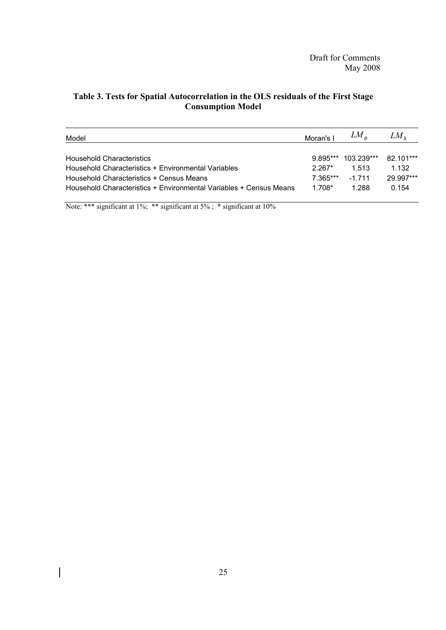| Model                                                                                                          | Moran's I              | $LM_r$              | LМ                 |
|----------------------------------------------------------------------------------------------------------------|------------------------|---------------------|--------------------|
| <b>Household Characteristics</b>                                                                               |                        | 9 895*** 103 239*** | 82 101***          |
| Household Characteristics + Environmental Variables                                                            | $2.267*$               | 1.513               | 1.132              |
| Household Characteristics + Census Means<br>Household Characteristics + Environmental Variables + Census Means | $7.365***$<br>$1.708*$ | $-1711$<br>1 288    | 29.997***<br>0.154 |

## **Table 3. Tests for Spatial Autocorrelation in the OLS residuals of the First Stage Consumption Model**

Note: \*\*\* significant at 1%; \*\* significant at 5%; \* significant at 10%

 $\overline{\phantom{a}}$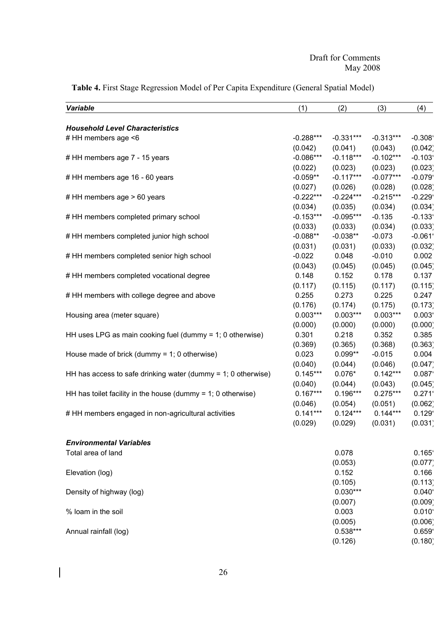| <b>Variable</b>                                                  | (1)                    | (2)                    | (3)                    | (4)                   |
|------------------------------------------------------------------|------------------------|------------------------|------------------------|-----------------------|
|                                                                  |                        |                        |                        |                       |
| <b>Household Level Characteristics</b>                           |                        | $-0.331***$            |                        |                       |
| # HH members age <6                                              | $-0.288***$            |                        | $-0.313***$            | $-0.308$              |
|                                                                  | (0.042)<br>$-0.086***$ | (0.041)                | (0.043)<br>$-0.102***$ | (0.042)               |
| # HH members age 7 - 15 years                                    |                        | $-0.118***$            |                        | $-0.103$              |
|                                                                  | (0.022)                | (0.023)                | (0.023)                | (0.023)               |
| # HH members age 16 - 60 years                                   | $-0.059**$             | $-0.117***$            | $-0.077***$            | $-0.079$              |
|                                                                  | (0.027)<br>$-0.222***$ | (0.026)<br>$-0.224***$ | (0.028)<br>$-0.215***$ | (0.028)               |
| # HH members age > 60 years                                      |                        |                        |                        | $-0.229$              |
|                                                                  | (0.034)                | (0.035)                | (0.034)                | (0.034)               |
| # HH members completed primary school                            | $-0.153***$            | $-0.095***$            | $-0.135$               | $-0.133$              |
|                                                                  | (0.033)                | (0.033)                | (0.034)                | (0.033)               |
| # HH members completed junior high school                        | $-0.088**$             | $-0.038**$             | $-0.073$               | $-0.061$ <sup>*</sup> |
|                                                                  | (0.031)                | (0.031)<br>0.048       | (0.033)                | (0.032)               |
| # HH members completed senior high school                        | $-0.022$               |                        | $-0.010$               | 0.002                 |
|                                                                  | (0.043)                | (0.045)                | (0.045)                | (0.045)               |
| # HH members completed vocational degree                         | 0.148                  | 0.152                  | 0.178                  | 0.137                 |
|                                                                  | (0.117)                | (0.115)                | (0.117)                | (0.115)               |
| # HH members with college degree and above                       | 0.255                  | 0.273                  | 0.225                  | 0.247                 |
|                                                                  | (0.176)                | (0.174)                | (0.175)                | (0.173)               |
| Housing area (meter square)                                      | $0.003***$             | $0.003***$             | $0.003***$             | 0.003'                |
|                                                                  | (0.000)                | (0.000)                | (0.000)                | (0.000)               |
| HH uses LPG as main cooking fuel (dummy = 1; 0 otherwise)        | 0.301                  | 0.218                  | 0.352                  | 0.385                 |
|                                                                  | (0.369)                | (0.365)                | (0.368)                | (0.363)               |
| House made of brick (dummy = $1$ ; 0 otherwise)                  | 0.023                  | $0.099**$              | $-0.015$               | 0.004                 |
|                                                                  | (0.040)                | (0.044)                | (0.046)                | (0.047)               |
| HH has access to safe drinking water (dummy $= 1$ ; 0 otherwise) | $0.145***$             | $0.076*$               | $0.142***$             | 0.087                 |
|                                                                  | (0.040)                | (0.044)                | (0.043)                | (0.045)               |
| HH has toilet facility in the house (dummy $= 1$ ; 0 otherwise)  | $0.167***$             | $0.196***$             | $0.275***$             | 0.271                 |
|                                                                  | (0.046)                | (0.054)                | (0.051)                | (0.062)               |
| # HH members engaged in non-agricultural activities              | $0.141***$             | $0.124***$             | $0.144***$             | 0.129                 |
|                                                                  | (0.029)                | (0.029)                | (0.031)                | (0.031)               |
| <b>Environmental Variables</b>                                   |                        |                        |                        |                       |
| Total area of land                                               |                        | 0.078                  |                        | 0.165                 |
|                                                                  |                        | (0.053)                |                        | (0.077)               |
| Elevation (log)                                                  |                        | 0.152                  |                        | 0.166                 |
|                                                                  |                        | (0.105)                |                        | (0.113)               |
| Density of highway (log)                                         |                        | $0.030***$             |                        | 0.040                 |
|                                                                  |                        | (0.007)                |                        | (0.009)               |
| % loam in the soil                                               |                        | 0.003                  |                        | 0.010                 |
|                                                                  |                        | (0.005)                |                        | (0.006)               |
| Annual rainfall (log)                                            |                        | $0.538***$             |                        | 0.659                 |
|                                                                  |                        | (0.126)                |                        | (0.180)               |

**Table 4.** First Stage Regression Model of Per Capita Expenditure (General Spatial Model)

 $\overline{\mathbf{I}}$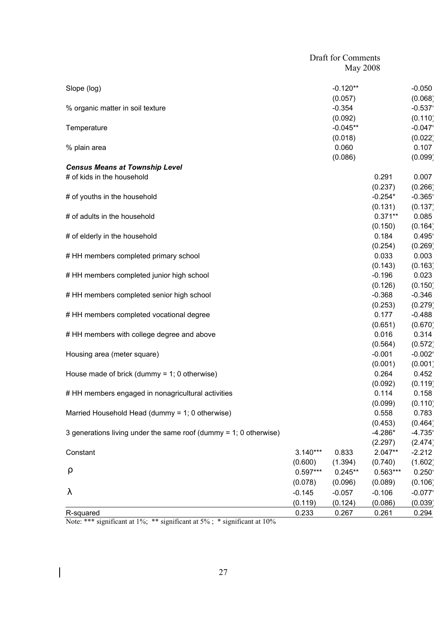|                                                                     |            | <b>Draft for Comments</b> |                  |                       |
|---------------------------------------------------------------------|------------|---------------------------|------------------|-----------------------|
|                                                                     |            | <b>May 2008</b>           |                  |                       |
| Slope (log)                                                         |            | $-0.120**$                |                  | $-0.050$              |
|                                                                     |            | (0.057)                   |                  | (0.068)               |
| % organic matter in soil texture                                    |            | $-0.354$                  |                  | $-0.537$              |
|                                                                     |            | (0.092)                   |                  | (0.110)               |
| Temperature                                                         |            | $-0.045**$                |                  | $-0.047$              |
|                                                                     |            | (0.018)                   |                  | (0.022)               |
| % plain area                                                        |            | 0.060                     |                  | 0.107                 |
|                                                                     |            | (0.086)                   |                  | (0.099)               |
| <b>Census Means at Township Level</b><br># of kids in the household |            |                           |                  |                       |
|                                                                     |            |                           | 0.291<br>(0.237) | 0.007<br>(0.266)      |
| # of youths in the household                                        |            |                           | $-0.254*$        | $-0.365$              |
|                                                                     |            |                           | (0.131)          | (0.137)               |
| # of adults in the household                                        |            |                           | $0.371**$        | 0.085                 |
|                                                                     |            |                           | (0.150)          | (0.164)               |
| # of elderly in the household                                       |            |                           | 0.184            | 0.495                 |
|                                                                     |            |                           | (0.254)          | (0.269)               |
| # HH members completed primary school                               |            |                           | 0.033            | 0.003                 |
|                                                                     |            |                           | (0.143)          | (0.163)               |
| # HH members completed junior high school                           |            |                           | $-0.196$         | 0.023                 |
|                                                                     |            |                           | (0.126)          | (0.150)               |
| # HH members completed senior high school                           |            |                           | $-0.368$         | $-0.346$              |
|                                                                     |            |                           | (0.253)          | (0.279)               |
| # HH members completed vocational degree                            |            |                           | 0.177            | $-0.488$              |
|                                                                     |            |                           | (0.651)          | (0.670)               |
| # HH members with college degree and above                          |            |                           | 0.016            | 0.314                 |
|                                                                     |            |                           | (0.564)          | (0.572)               |
| Housing area (meter square)                                         |            |                           | $-0.001$         | $-0.002$ <sup>*</sup> |
|                                                                     |            |                           | (0.001)          | (0.001)               |
| House made of brick (dummy = $1$ ; 0 otherwise)                     |            |                           | 0.264            | 0.452                 |
| # HH members engaged in nonagricultural activities                  |            |                           | (0.092)<br>0.114 | (0.119)<br>0.158      |
|                                                                     |            |                           | (0.099)          | (0.110)               |
| Married Household Head (dummy = 1; 0 otherwise)                     |            |                           | 0.558            | 0.783                 |
|                                                                     |            |                           | (0.453)          | (0.464)               |
| 3 generations living under the same roof (dummy = 1; 0 otherwise)   |            |                           | $-4.286*$        | $-4.735$              |
|                                                                     |            |                           | (2.297)          | (2.474)               |
| Constant                                                            | $3.140***$ | 0.833                     | $2.047**$        | $-2.212$              |
|                                                                     | (0.600)    | (1.394)                   | (0.740)          | (1.602)               |
| r                                                                   | $0.597***$ | $0.245**$                 | $0.563***$       | $0.250^{\circ}$       |
|                                                                     | (0.078)    | (0.096)                   | (0.089)          | (0.106)               |
|                                                                     | $-0.145$   | $-0.057$                  | $-0.106$         | $-0.077$              |
|                                                                     | (0.119)    | (0.124)                   | (0.086)          | (0.039)               |
| R-squared                                                           | 0.233      | 0.267                     | 0.261            | 0.294                 |

Note: \*\*\* significant at 1%; \*\* significant at 5%; \* significant at 10%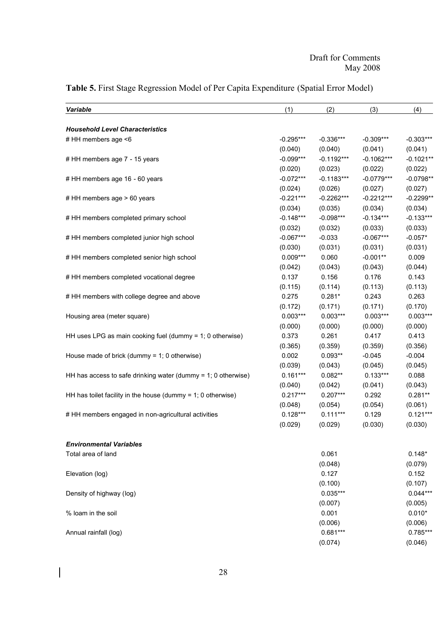| <b>Variable</b>                                                  | (1)                    | (2)          | (3)                     | (4)         |
|------------------------------------------------------------------|------------------------|--------------|-------------------------|-------------|
| <b>Household Level Characteristics</b>                           |                        |              |                         |             |
| # HH members age <6                                              | $-0.295***$            | $-0.336***$  | $-0.309***$             | $-0.303***$ |
|                                                                  | (0.040)                | (0.040)      | (0.041)                 | (0.041)     |
| # HH members age 7 - 15 years                                    | $-0.099***$            | $-0.1192***$ | $-0.1062***$            | $-0.1021**$ |
|                                                                  | (0.020)                | (0.023)      | (0.022)                 |             |
|                                                                  | $-0.072***$            |              |                         | (0.022)     |
| # HH members age 16 - 60 years                                   |                        | $-0.1183***$ | $-0.0779***$            | $-0.0798**$ |
|                                                                  | (0.024)<br>$-0.221***$ | (0.026)      | (0.027)<br>$-0.2212***$ | (0.027)     |
| # HH members age > 60 years                                      |                        | $-0.2262***$ |                         | $-0.2299**$ |
|                                                                  | (0.034)                | (0.035)      | (0.034)                 | (0.034)     |
| # HH members completed primary school                            | $-0.148***$            | $-0.098***$  | $-0.134***$             | $-0.133***$ |
|                                                                  | (0.032)                | (0.032)      | (0.033)                 | (0.033)     |
| # HH members completed junior high school                        | $-0.067***$            | $-0.033$     | $-0.067***$             | $-0.057*$   |
|                                                                  | (0.030)                | (0.031)      | (0.031)                 | (0.031)     |
| # HH members completed senior high school                        | $0.009***$             | 0.060        | $-0.001**$              | 0.009       |
|                                                                  | (0.042)                | (0.043)      | (0.043)                 | (0.044)     |
| # HH members completed vocational degree                         | 0.137                  | 0.156        | 0.176                   | 0.143       |
|                                                                  | (0.115)                | (0.114)      | (0.113)                 | (0.113)     |
| # HH members with college degree and above                       | 0.275                  | $0.281*$     | 0.243                   | 0.263       |
|                                                                  | (0.172)                | (0.171)      | (0.171)                 | (0.170)     |
| Housing area (meter square)                                      | $0.003***$             | $0.003***$   | $0.003***$              | $0.003***$  |
|                                                                  | (0.000)                | (0.000)      | (0.000)                 | (0.000)     |
| HH uses LPG as main cooking fuel (dummy = 1; 0 otherwise)        | 0.373                  | 0.261        | 0.417                   | 0.413       |
|                                                                  | (0.365)                | (0.359)      | (0.359)                 | (0.356)     |
| House made of brick (dummy = $1$ ; 0 otherwise)                  | 0.002                  | $0.093**$    | $-0.045$                | $-0.004$    |
|                                                                  | (0.039)                | (0.043)      | (0.045)                 | (0.045)     |
| HH has access to safe drinking water (dummy = $1$ ; 0 otherwise) | $0.161***$             | $0.082**$    | $0.133***$              | 0.088       |
|                                                                  | (0.040)                | (0.042)      | (0.041)                 | (0.043)     |
| HH has toilet facility in the house (dummy = $1$ ; 0 otherwise)  | $0.217***$             | $0.207***$   | 0.292                   | $0.281**$   |
|                                                                  | (0.048)                | (0.054)      | (0.054)                 | (0.061)     |
| # HH members engaged in non-agricultural activities              | $0.128***$             | $0.111***$   | 0.129                   | $0.121***$  |
|                                                                  | (0.029)                | (0.029)      | (0.030)                 | (0.030)     |
| <b>Environmental Variables</b>                                   |                        |              |                         |             |
| Total area of land                                               |                        | 0.061        |                         | $0.148*$    |
|                                                                  |                        | (0.048)      |                         | (0.079)     |
| Elevation (log)                                                  |                        | 0.127        |                         | 0.152       |
|                                                                  |                        | (0.100)      |                         | (0.107)     |
| Density of highway (log)                                         |                        | $0.035***$   |                         | $0.044***$  |
|                                                                  |                        | (0.007)      |                         | (0.005)     |
| % loam in the soil                                               |                        | 0.001        |                         | $0.010*$    |
|                                                                  |                        | (0.006)      |                         | (0.006)     |
| Annual rainfall (log)                                            |                        | $0.681***$   |                         | $0.785***$  |
|                                                                  |                        |              |                         |             |
|                                                                  |                        | (0.074)      |                         | (0.046)     |

# **Table 5.** First Stage Regression Model of Per Capita Expenditure (Spatial Error Model)

 $\overline{\phantom{a}}$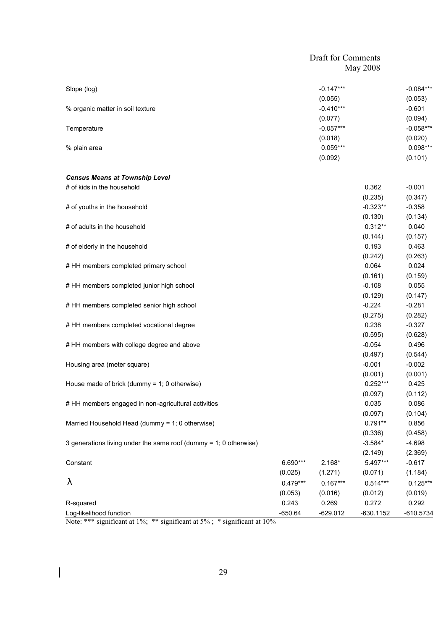|                                                                   | <b>Draft for Comments</b> |             |             |             |
|-------------------------------------------------------------------|---------------------------|-------------|-------------|-------------|
|                                                                   |                           |             | May 2008    |             |
| Slope (log)                                                       |                           | $-0.147***$ |             | $-0.084***$ |
|                                                                   |                           | (0.055)     |             | (0.053)     |
| % organic matter in soil texture                                  |                           | $-0.410***$ |             | $-0.601$    |
|                                                                   |                           | (0.077)     |             | (0.094)     |
| Temperature                                                       |                           | $-0.057***$ |             | $-0.058***$ |
|                                                                   |                           | (0.018)     |             | (0.020)     |
| % plain area                                                      |                           | $0.059***$  |             | $0.098***$  |
|                                                                   |                           | (0.092)     |             | (0.101)     |
| <b>Census Means at Township Level</b>                             |                           |             |             |             |
| # of kids in the household                                        |                           |             | 0.362       | $-0.001$    |
|                                                                   |                           |             | (0.235)     | (0.347)     |
| # of youths in the household                                      |                           |             | $-0.323**$  | $-0.358$    |
|                                                                   |                           |             | (0.130)     | (0.134)     |
| # of adults in the household                                      |                           |             | $0.312**$   | 0.040       |
|                                                                   |                           |             | (0.144)     | (0.157)     |
| # of elderly in the household                                     |                           |             | 0.193       | 0.463       |
|                                                                   |                           |             | (0.242)     | (0.263)     |
| # HH members completed primary school                             |                           |             | 0.064       | 0.024       |
|                                                                   |                           |             | (0.161)     | (0.159)     |
| # HH members completed junior high school                         |                           |             | $-0.108$    | 0.055       |
|                                                                   |                           |             | (0.129)     | (0.147)     |
| # HH members completed senior high school                         |                           |             | $-0.224$    | $-0.281$    |
|                                                                   |                           |             | (0.275)     | (0.282)     |
| # HH members completed vocational degree                          |                           |             | 0.238       | $-0.327$    |
|                                                                   |                           |             | (0.595)     | (0.628)     |
| # HH members with college degree and above                        |                           |             | $-0.054$    | 0.496       |
|                                                                   |                           |             | (0.497)     | (0.544)     |
| Housing area (meter square)                                       |                           |             | $-0.001$    | $-0.002$    |
|                                                                   |                           |             | (0.001)     | (0.001)     |
| House made of brick (dummy = $1$ ; 0 otherwise)                   |                           |             | $0.252***$  | 0.425       |
|                                                                   |                           |             | (0.097)     | (0.112)     |
| # HH members engaged in non-agricultural activities               |                           |             | 0.035       | 0.086       |
|                                                                   |                           |             | (0.097)     | (0.104)     |
| Married Household Head (dummy = 1; 0 otherwise)                   |                           |             | $0.791**$   | 0.856       |
|                                                                   |                           |             | (0.336)     | (0.458)     |
| 3 generations living under the same roof (dummy = 1; 0 otherwise) |                           |             | $-3.584*$   | $-4.698$    |
|                                                                   |                           |             | (2.149)     | (2.369)     |
| Constant                                                          | 6.690***                  | $2.168*$    | 5.497***    | $-0.617$    |
|                                                                   | (0.025)                   | (1.271)     | (0.071)     | (1.184)     |
|                                                                   | $0.479***$                | $0.167***$  | $0.514***$  | $0.125***$  |
|                                                                   | (0.053)                   | (0.016)     | (0.012)     | (0.019)     |
| R-squared                                                         | 0.243                     | 0.269       | 0.272       | 0.292       |
| Log-likelihood function                                           | $-650.64$                 | $-629.012$  | $-630.1152$ | $-610.5734$ |

Note: \*\*\* significant at 1%; \*\* significant at 5%; \* significant at 10%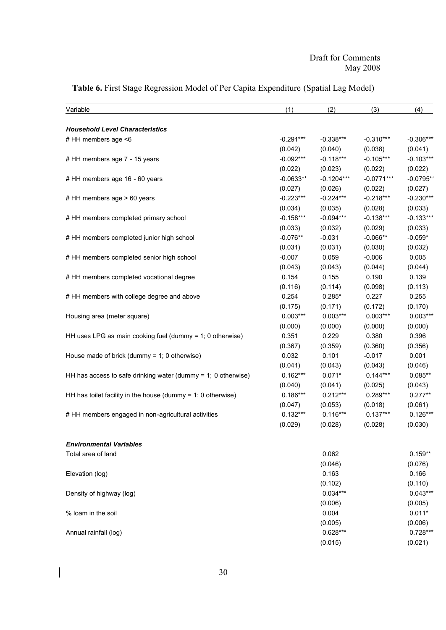| Variable                                                        | (1)         | (2)          | (3)          | (4)         |
|-----------------------------------------------------------------|-------------|--------------|--------------|-------------|
| <b>Household Level Characteristics</b>                          |             |              |              |             |
| # HH members age <6                                             | $-0.291***$ | $-0.338***$  | $-0.310***$  | $-0.306***$ |
|                                                                 | (0.042)     | (0.040)      | (0.038)      | (0.041)     |
| # HH members age 7 - 15 years                                   | $-0.092***$ | $-0.118***$  | $-0.105***$  | $-0.103***$ |
|                                                                 | (0.022)     | (0.023)      | (0.022)      | (0.022)     |
| # HH members age 16 - 60 years                                  | $-0.0633**$ | $-0.1204***$ | $-0.0771***$ | $-0.0795**$ |
|                                                                 | (0.027)     | (0.026)      | (0.022)      | (0.027)     |
| # HH members age > 60 years                                     | $-0.223***$ | $-0.224***$  | $-0.218***$  | $-0.230***$ |
|                                                                 | (0.034)     | (0.035)      | (0.028)      | (0.033)     |
| # HH members completed primary school                           | $-0.158***$ | $-0.094***$  | $-0.138***$  | $-0.133***$ |
|                                                                 | (0.033)     | (0.032)      | (0.029)      | (0.033)     |
| # HH members completed junior high school                       | $-0.076**$  | $-0.031$     | $-0.066**$   | $-0.059*$   |
|                                                                 | (0.031)     | (0.031)      | (0.030)      | (0.032)     |
| # HH members completed senior high school                       | $-0.007$    | 0.059        | $-0.006$     | 0.005       |
|                                                                 | (0.043)     | (0.043)      | (0.044)      | (0.044)     |
| # HH members completed vocational degree                        | 0.154       | 0.155        | 0.190        | 0.139       |
|                                                                 | (0.116)     | (0.114)      | (0.098)      | (0.113)     |
| # HH members with college degree and above                      | 0.254       | $0.285*$     | 0.227        | 0.255       |
|                                                                 | (0.175)     | (0.171)      | (0.172)      | (0.170)     |
| Housing area (meter square)                                     | $0.003***$  | $0.003***$   | $0.003***$   | $0.003***$  |
|                                                                 | (0.000)     | (0.000)      | (0.000)      | (0.000)     |
| HH uses LPG as main cooking fuel (dummy = 1; 0 otherwise)       | 0.351       | 0.229        | 0.380        | 0.396       |
|                                                                 | (0.367)     | (0.359)      | (0.360)      | (0.356)     |
| House made of brick (dummy = $1$ ; 0 otherwise)                 | 0.032       | 0.101        | $-0.017$     | 0.001       |
|                                                                 | (0.041)     | (0.043)      | (0.043)      | (0.046)     |
| HH has access to safe drinking water (dummy = 1; 0 otherwise)   | $0.162***$  | $0.071*$     | $0.144***$   | $0.085**$   |
|                                                                 | (0.040)     | (0.041)      | (0.025)      | (0.043)     |
| HH has toilet facility in the house (dummy = $1$ ; 0 otherwise) | $0.186***$  | $0.212***$   | $0.289***$   | $0.277**$   |
|                                                                 | (0.047)     | (0.053)      | (0.018)      | (0.061)     |
| # HH members engaged in non-agricultural activities             | $0.132***$  | $0.116***$   | $0.137***$   | $0.126***$  |
|                                                                 | (0.029)     | (0.028)      | (0.028)      | (0.030)     |
|                                                                 |             |              |              |             |
| <b>Environmental Variables</b>                                  |             |              |              |             |
| Total area of land                                              |             | 0.062        |              | $0.159**$   |
|                                                                 |             | (0.046)      |              | (0.076)     |
| Elevation (log)                                                 |             | 0.163        |              | 0.166       |
|                                                                 |             | (0.102)      |              | (0.110)     |
| Density of highway (log)                                        |             | $0.034***$   |              | $0.043***$  |
|                                                                 |             | (0.006)      |              | (0.005)     |
| % loam in the soil                                              |             | 0.004        |              | $0.011*$    |
|                                                                 |             | (0.005)      |              | (0.006)     |
| Annual rainfall (log)                                           |             | $0.628***$   |              | $0.728***$  |
|                                                                 |             | (0.015)      |              | (0.021)     |

# **Table 6.** First Stage Regression Model of Per Capita Expenditure (Spatial Lag Model)

 $\overline{\mathbf{I}}$